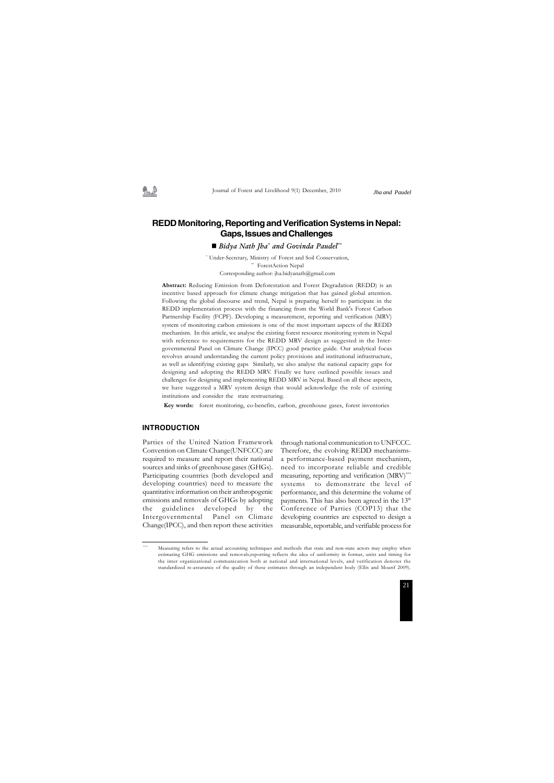## **REDD Monitoring, Reporting and Verification Systems in Nepal: Gaps, Issues and Challenges**

■ *Bidya Nath Jha\* and Govinda Paudel\*\** 

**Abstract:** Reducing Emission from Deforestation and Forest Degradation (REDD) is an incentive based approach for climate change mitigation that has gained global attention. Following the global discourse and trend, Nepal is preparing herself to participate in the REDD implementation process with the financing from the World Bank's Forest Carbon Partnership Facility (FCPF). Developing a measurement, reporting and verification (MRV) system of monitoring carbon emissions is one of the most important aspects of the REDD mechanism. In this article, we analyse the existing forest resource monitoring system in Nepal with reference to requirements for the REDD MRV design as suggested in the Intergovernmental Panel on Climate Change (IPCC) good practice guide. Our analytical focus revolves around understanding the current policy provisions and institutional infrastructure, as well as identifying existing gaps Similarly, we also analyse the national capacity gaps for designing and adopting the REDD MRV. Finally we have outlined possible issues and challenges for designing and implementing REDD MRV in Nepal. Based on all these aspects, we have suggested a MRV system design that would acknowledge the role of existing institutions and consider the state restructuring.

 **Key words:** forest monitoring, co-benefits, carbon, greenhouse gases, forest inventories

#### **INTRODUCTION**

Parties of the United Nation Framework Convention on Climate Change(UNFCCC) are required to measure and report their national sources and sinks of greenhouse gases (GHGs). Participating countries (both developed and developing countries) need to measure the quantitative information on their anthropogenic emissions and removals of GHGs by adopting the guidelines developed by the Intergovernmental Panel on Climate Change(IPCC), and then report these activities through national communication to UNFCCC. Therefore, the evolving REDD mechanismsa performance-based payment mechanism, need to incorporate reliable and credible measuring, reporting and verification (MRV)<sup>\*\*\*</sup> systems to demonstrate the level of performance, and this determine the volume of payments. This has also been agreed in the  $13<sup>th</sup>$ Conference of Parties (COP13) that the developing countries are expected to design a measurable, reportable, and verifiable process for

*Jha and Paudel*

\* Under-Secretary, Ministry of Forest and Soil Conservation, \*\* ForestAction Nepal Corresponding author: jha.bidyanath@gmail.com

Measuring refers to the actual accounting techniques and methods that state and non-state actors may employ when estimating GHG emissions and removals,reporting reflects the idea of uniformity in format, units and timing for the inter organizational communication both at national and international levels, and verification denotes the standardized re-assurance of the quality of these estimates through an independent body (Ellis and Moarif 2009).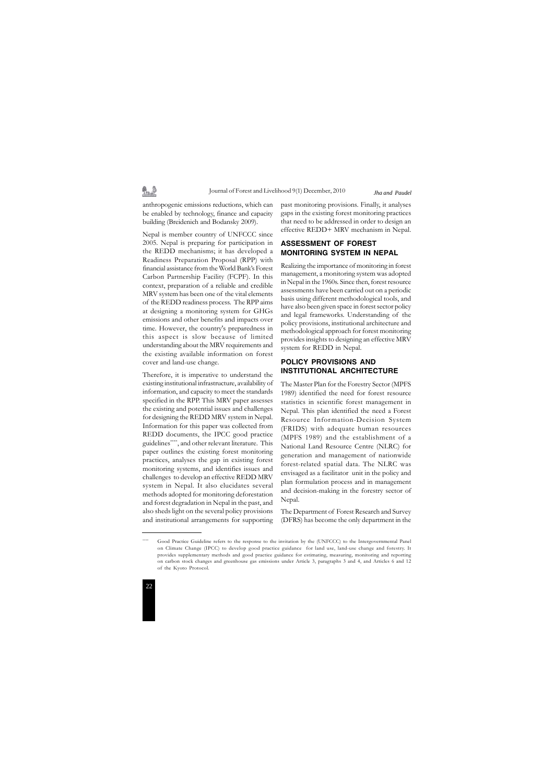

anthropogenic emissions reductions, which can be enabled by technology, finance and capacity building (Breidenich and Bodansky 2009).

乳垫

Nepal is member country of UNFCCC since 2005. Nepal is preparing for participation in the REDD mechanisms; it has developed a Readiness Preparation Proposal (RPP) with financial assistance from the World Bank's Forest Carbon Partnership Facility (FCPF). In this context, preparation of a reliable and credible MRV system has been one of the vital elements of the REDD readiness process. The RPP aims at designing a monitoring system for GHGs emissions and other benefits and impacts over time. However, the country's preparedness in this aspect is slow because of limited understanding about the MRV requirements and the existing available information on forest cover and land-use change.

Therefore, it is imperative to understand the existing institutional infrastructure, availability of information, and capacity to meet the standards specified in the RPP. This MRV paper assesses the existing and potential issues and challenges for designing the REDD MRV system in Nepal. Information for this paper was collected from REDD documents, the IPCC good practice guidelines\*\*\*\*, and other relevant literature. This paper outlines the existing forest monitoring practices, analyses the gap in existing forest monitoring systems, and identifies issues and challenges to develop an effective REDD MRV system in Nepal. It also elucidates several methods adopted for monitoring deforestation and forest degradation in Nepal in the past, and also sheds light on the several policy provisions and institutional arrangements for supporting

past monitoring provisions. Finally, it analyses gaps in the existing forest monitoring practices that need to be addressed in order to design an effective REDD+ MRV mechanism in Nepal.

## **ASSESSMENT OF FOREST MONITORING SYSTEM IN NEPAL**

Realizing the importance of monitoring in forest management, a monitoring system was adopted in Nepal in the 1960s. Since then, forest resource assessments have been carried out on a periodic basis using different methodological tools, and have also been given space in forest sector policy and legal frameworks. Understanding of the policy provisions, institutional architecture and methodological approach for forest monitoring provides insights to designing an effective MRV system for REDD in Nepal.

## **POLICY PROVISIONS AND INSTITUTIONAL ARCHITECTURE**

The Master Plan for the Forestry Sector (MPFS 1989) identified the need for forest resource statistics in scientific forest management in Nepal. This plan identified the need a Forest Resource Information-Decision System (FRIDS) with adequate human resources (MPFS 1989) and the establishment of a National Land Resource Centre (NLRC) for generation and management of nationwide forest-related spatial data. The NLRC was envisaged as a facilitator unit in the policy and plan formulation process and in management and decision-making in the forestry sector of Nepal.

The Department of Forest Research and Survey (DFRS) has become the only department in the

Good Practice Guideline refers to the response to the invitation by the (UNFCCC) to the Intergovernmental Panel on Climate Change (IPCC) to develop good practice guidance for land use, land-use change and forestry. It provides supplementary methods and good practice guidance for estimating, measuring, monitoring and reporting on carbon stock changes and greenhouse gas emissions under Article 3, paragraphs 3 and 4, and Articles 6 and 12 of the Kyoto Protocol.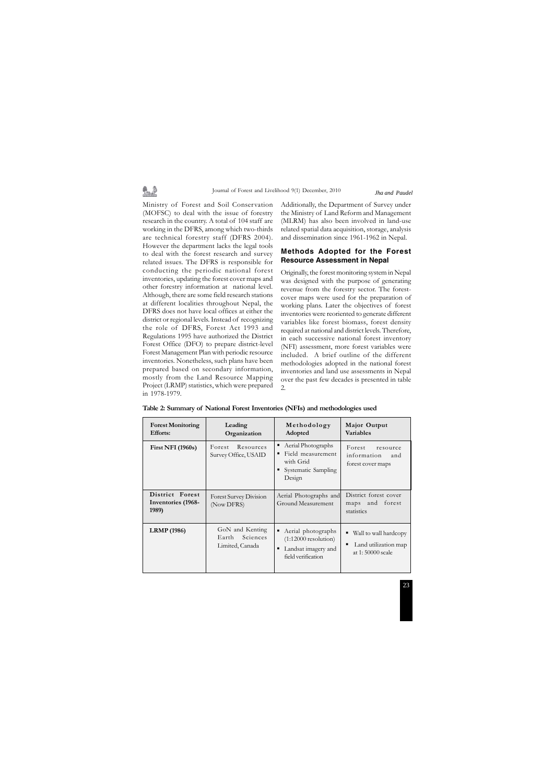# 最適

Journal of Forest and Livelihood 9(1) December, 2010

Ministry of Forest and Soil Conservation (MOFSC) to deal with the issue of forestry research in the country. A total of 104 staff are working in the DFRS, among which two-thirds are technical forestry staff (DFRS 2004). However the department lacks the legal tools to deal with the forest research and survey related issues. The DFRS is responsible for conducting the periodic national forest inventories, updating the forest cover maps and other forestry information at national level. Although, there are some field research stations at different localities throughout Nepal, the DFRS does not have local offices at either the district or regional levels. Instead of recognizing the role of DFRS, Forest Act 1993 and Regulations 1995 have authorized the District Forest Office (DFO) to prepare district-level Forest Management Plan with periodic resource inventories. Nonetheless, such plans have been prepared based on secondary information, mostly from the Land Resource Mapping Project (LRMP) statistics, which were prepared in 1978-1979.

Additionally, the Department of Survey under the Ministry of Land Reform and Management (MLRM) has also been involved in land-use related spatial data acquisition, storage, analysis and dissemination since 1961-1962 in Nepal.

## **Methods Adopted for the Forest Resource Assessment in Nepal**

Originally, the forest monitoring system in Nepal was designed with the purpose of generating revenue from the forestry sector. The forestcover maps were used for the preparation of working plans. Later the objectives of forest inventories were reoriented to generate different variables like forest biomass, forest density required at national and district levels. Therefore, in each successive national forest inventory (NFI) assessment, more forest variables were included. A brief outline of the different methodologies adopted in the national forest inventories and land use assessments in Nepal over the past few decades is presented in table 2.

| <b>Forest Monitoring</b><br><b>Efforts:</b>    | Leading<br>Organization                                 | Methodology<br>Adopted                                                                         | Major Output<br><b>Variables</b>                                            |
|------------------------------------------------|---------------------------------------------------------|------------------------------------------------------------------------------------------------|-----------------------------------------------------------------------------|
| <b>First NFI (1960s)</b>                       | Resources<br>Forest<br>Survey Office, USAID             | • Aerial Photographs<br>Field measurement<br>٠<br>with Grid<br>Systematic Sampling<br>Design   | Forest<br>resource<br>information<br>and<br>forest cover maps               |
| District Forest<br>Inventories (1968-<br>1989) | Forest Survey Division<br>(Now DFRS)                    | Aerial Photographs and<br>Ground Measurement                                                   | District forest cover<br>maps and forest<br>statistics                      |
| <b>LRMP</b> (1986)                             | GoN and Kenting<br>Sciences<br>Earth<br>Limited, Canada | Aerial photographs<br>$(1:12000$ resolution)<br>Landsat imagery and<br>٠<br>field verification | Wall to wall hardcopy<br>٠<br>Land utilization map<br>▪<br>at 1:50000 scale |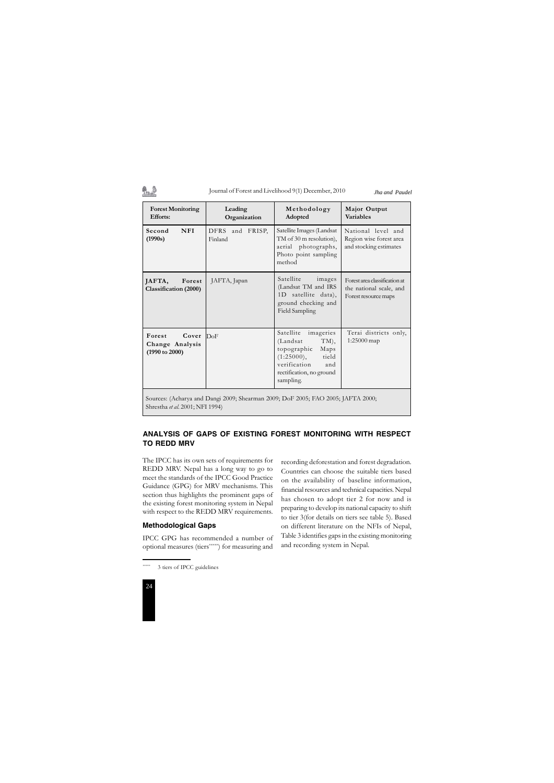## 乳色

#### Journal of Forest and Livelihood 9(1) December, 2010



## **ANALYSIS OF GAPS OF EXISTING FOREST MONITORING WITH RESPECT TO REDD MRV**

The IPCC has its own sets of requirements for REDD MRV. Nepal has a long way to go to meet the standards of the IPCC Good Practice Guidance (GPG) for MRV mechanisms. This section thus highlights the prominent gaps of the existing forest monitoring system in Nepal with respect to the REDD MRV requirements.

## **Methodological Gaps**

3 tiers of IPCC guidelines

IPCC GPG has recommended a number of optional measures (tiers\*\*\*\*\*) for measuring and

recording deforestation and forest degradation. Countries can choose the suitable tiers based on the availability of baseline information, financial resources and technical capacities. Nepal has chosen to adopt tier 2 for now and is preparing to develop its national capacity to shift to tier 3(for details on tiers see table 5). Based on different literature on the NFIs of Nepal, Table 3 identifies gaps in the existing monitoring and recording system in Nepal.

*Jha and Paudel*

| <b>Forest Monitoring</b><br><b>Efforts:</b>                                      | Leading<br>Organization    | Methodology<br>Adopted                                                                                                                                   | Major Output<br><b>Variables</b>                                                 |
|----------------------------------------------------------------------------------|----------------------------|----------------------------------------------------------------------------------------------------------------------------------------------------------|----------------------------------------------------------------------------------|
| Second<br><b>NFI</b><br>(1990s)                                                  | DFRS and FRISP,<br>Finland | Satellite Images (Landsat<br>TM of 30 m resolution),<br>aerial photographs,<br>Photo point sampling<br>method                                            | National level and<br>Region wise forest area<br>and stocking estimates          |
| JAFTA,<br>Forest<br>Classification (2000)                                        | JAFTA, Japan               | Satellite<br>images<br>(Landsat TM and IRS<br>1D satellite data),<br>ground checking and<br>Field Sampling                                               | Forest area classification at<br>the national scale, and<br>Forest resource maps |
| Forest<br>Cover<br>Change Analysis<br>(1990 to 2000)                             | DoF                        | Satellite<br>imageries<br>TM),<br>(Landsat<br>topographic<br>Maps<br>(1:25000),<br>tield<br>verification<br>and<br>rectification, no ground<br>sampling. | Terai districts only,<br>1:25000 map                                             |
| Sources: (Acharya and Dangi 2009; Shearman 2009; DoF 2005; FAO 2005; JAFTA 2000; |                            |                                                                                                                                                          |                                                                                  |

Shrestha *et al*. 2001; NFI 1994)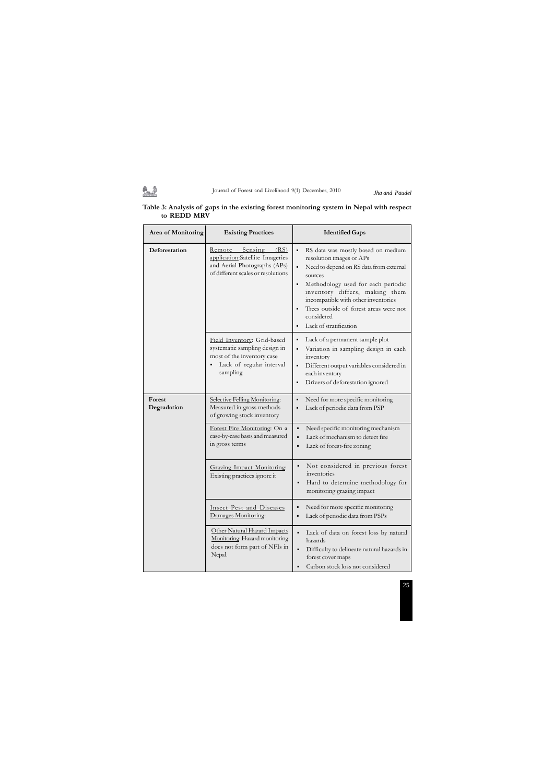## Journal of Forest and Livelihood 9(1) December, 2010 *Jha and Paudel*

鼎录

**Table 3: Analysis of gaps in the existing forest monitoring system in Nepal with respect to REDD MRV**

**Area of Monitoring Existing Practices Identified Gaps Deforestation** Remote Sensing (RS) application:Satellite Imageries and Aerial Photographs (APs) of different scales or resolutions RS data was mostly based on medium resolution images or APs Need to depend on RS data from external sources Methodology used for each periodic inventory differs, making them incompatible with other inventories Trees outside of forest areas were not considered Lack of stratification Field Inventory: Grid-based systematic sampling design in most of the inventory case Lack of regular interval sampling Lack of a permanent sample plot Variation in sampling design in each inventory Different output variables considered in each inventory Drivers of deforestation ignored **Forest Degradation** Selective Felling Monitoring: Measured in gross methods of growing stock inventory Need for more specific monitoring Lack of periodic data from PSP Forest Fire Monitoring: On a case-by-case basis and measured in gross terms Need specific monitoring mechanism Lack of mechanism to detect fire Lack of forest-fire zoning Grazing Impact Monitoring: Existing practices ignore it Not considered in previous forest inventories Hard to determine methodology for monitoring grazing impact Insect Pest and Diseases Damages Monitoring: Need for more specific monitoring Lack of periodic data from PSPs Other Natural Hazard Impacts Monitoring: Hazard monitoring does not form part of NFIs in Lack of data on forest loss by natural hazards Difficulty to delineate natural hazards in

Nepal.

forest cover maps

Carbon stock loss not considered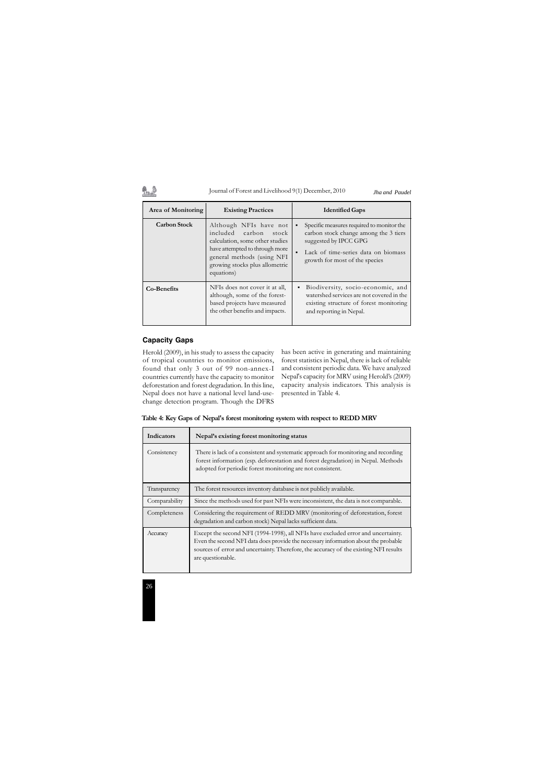# 1.2

### Journal of Forest and Livelihood 9(1) December, 2010



## **Capacity Gaps**

Herold (2009), in his study to assess the capacity of tropical countries to monitor emissions, found that only 3 out of 99 non-annex-I countries currently have the capacity to monitor deforestation and forest degradation. In this line, Nepal does not have a national level land-usechange detection program. Though the DFRS

has been active in generating and maintaining forest statistics in Nepal, there is lack of reliable and consistent periodic data. We have analyzed Nepal's capacity for MRV using Herold's (2009) capacity analysis indicators. This analysis is presented in Table 4.

| Area of Monitoring  | <b>Existing Practices</b>                                                                                                                                                                             | <b>Identified Gaps</b>                                                                                                                                                               |
|---------------------|-------------------------------------------------------------------------------------------------------------------------------------------------------------------------------------------------------|--------------------------------------------------------------------------------------------------------------------------------------------------------------------------------------|
| <b>Carbon Stock</b> | Although NFIs have not<br>included carbon<br>stock<br>calculation, some other studies<br>have attempted to through more<br>general methods (using NFI<br>growing stocks plus allometric<br>equations) | Specific measures required to monitor the<br>carbon stock change among the 3 tiers<br>suggested by IPCC GPG<br>Lack of time-series data on biomass<br>growth for most of the species |
| Co-Benefits         | NFIs does not cover it at all,<br>although, some of the forest-<br>based projects have measured<br>the other benefits and impacts.                                                                    | Biodiversity, socio-economic, and<br>٠<br>watershed services are not covered in the<br>existing structure of forest monitoring<br>and reporting in Nepal.                            |

**Table 4: Key Gaps of Nepal's forest monitoring system with respect to REDD MRV**

| Indicators    | Nepal's existing forest monitoring status                                                                                                                                                                                                                                            |
|---------------|--------------------------------------------------------------------------------------------------------------------------------------------------------------------------------------------------------------------------------------------------------------------------------------|
| Consistency   | There is lack of a consistent and systematic approach for monitoring and recording<br>forest information (esp. deforestation and forest degradation) in Nepal. Methods<br>adopted for periodic forest monitoring are not consistent.                                                 |
| Transparency  | The forest resources inventory database is not publicly available.                                                                                                                                                                                                                   |
| Comparability | Since the methods used for past NFIs were inconsistent, the data is not comparable.                                                                                                                                                                                                  |
| Completeness  | Considering the requirement of REDD MRV (monitoring of deforestation, forest<br>degradation and carbon stock) Nepal lacks sufficient data.                                                                                                                                           |
| Accuracy      | Except the second NFI (1994-1998), all NFIs have excluded error and uncertainty.<br>Even the second NFI data does provide the necessary information about the probable<br>sources of error and uncertainty. Therefore, the accuracy of the existing NFI results<br>are questionable. |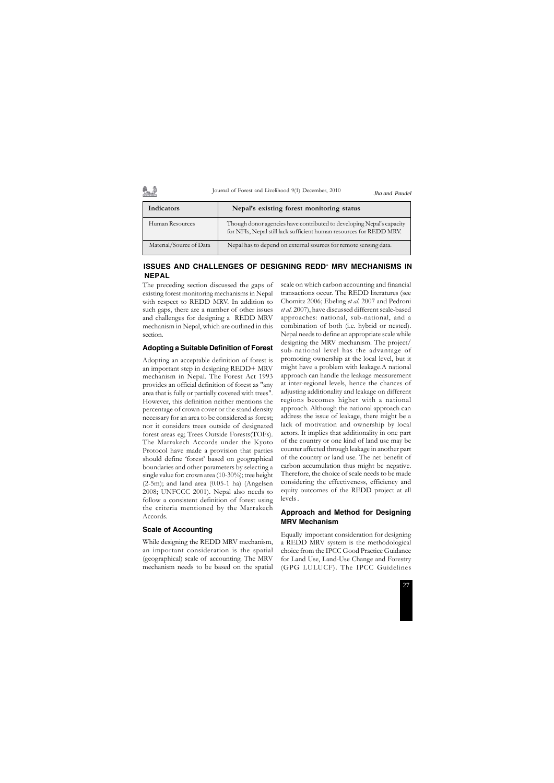## **ISSUES AND CHALLENGES OF DESIGNING REDD+ MRV MECHANISMS IN NEPAL**

The preceding section discussed the gaps of existing forest monitoring mechanisms in Nepal with respect to REDD MRV. In addition to such gaps, there are a number of other issues and challenges for designing a REDD MRV mechanism in Nepal, which are outlined in this section.

#### **Adopting a Suitable Definition of Forest**

Adopting an acceptable definition of forest is an important step in designing REDD+ MRV mechanism in Nepal. The Forest Act 1993 provides an official definition of forest as "any area that is fully or partially covered with trees". However, this definition neither mentions the percentage of crown cover or the stand density necessary for an area to be considered as forest; nor it considers trees outside of designated forest areas eg; Trees Outside Forests(TOFs). The Marrakech Accords under the Kyoto Protocol have made a provision that parties should define 'forest' based on geographical boundaries and other parameters by selecting a single value for: crown area (10-30%); tree height (2-5m); and land area (0.05-1 ha) (Angelsen 2008; UNFCCC 2001). Nepal also needs to follow a consistent definition of forest using the criteria mentioned by the Marrakech Accords.

#### **Scale of Accounting**

While designing the REDD MRV mechanism, an important consideration is the spatial (geographical) scale of accounting. The MRV mechanism needs to be based on the spatial scale on which carbon accounting and financial transactions occur. The REDD literatures (see Chomitz 2006; Ebeling *et al.* 2007 and Pedroni *et al.* 2007), have discussed different scale-based approaches: national, sub-national, and a combination of both (i.e. hybrid or nested). Nepal needs to define an appropriate scale while designing the MRV mechanism. The project/ sub-national level has the advantage of promoting ownership at the local level, but it might have a problem with leakage.A national approach can handle the leakage measurement at inter-regional levels, hence the chances of adjusting additionality and leakage on different regions becomes higher with a national approach. Although the national approach can address the issue of leakage, there might be a lack of motivation and ownership by local actors. It implies that additionality in one part of the country or one kind of land use may be counter affected through leakage in another part of the country or land use. The net benefit of carbon accumulation thus might be negative. Therefore, the choice of scale needs to be made considering the effectiveness, efficiency and equity outcomes of the REDD project at all levels .

## **Approach and Method for Designing MRV Mechanism**

Equally important consideration for designing a REDD MRV system is the methodological choice from the IPCC Good Practice Guidance for Land Use, Land-Use Change and Forestry (GPG LULUCF). The IPCC Guidelines

| Indicators              | Nepal's existing forest monitoring status                                                                                                    |
|-------------------------|----------------------------------------------------------------------------------------------------------------------------------------------|
| Human Resources         | Though donor agencies have contributed to developing Nepal's capacity<br>for NFIs, Nepal still lack sufficient human resources for REDD MRV. |
| Material/Source of Data | Nepal has to depend on external sources for remote sensing data.                                                                             |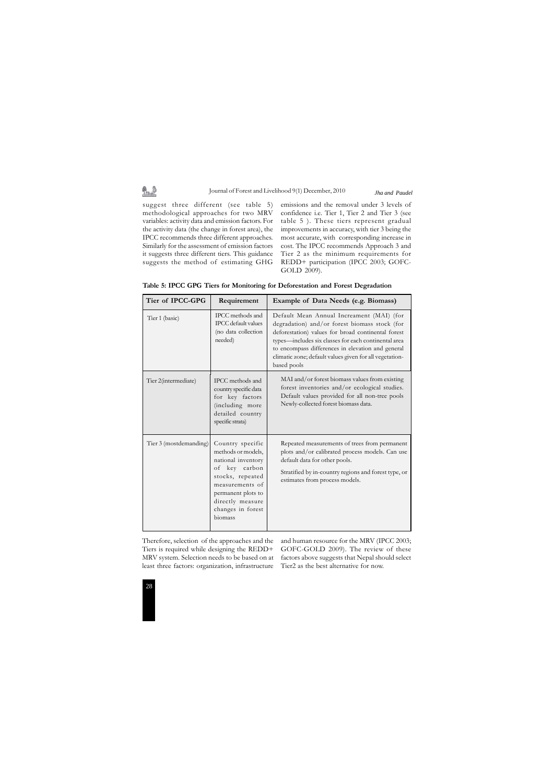

| Tier of IPCC-GPG       | Requirement                                                                                                                                                                                    | Example of Data Needs (e.g. Biomass)                                                                                                                                                                                                                                                                                                    |
|------------------------|------------------------------------------------------------------------------------------------------------------------------------------------------------------------------------------------|-----------------------------------------------------------------------------------------------------------------------------------------------------------------------------------------------------------------------------------------------------------------------------------------------------------------------------------------|
| Tier 1 (basic)         | IPCC methods and<br><b>IPCC</b> default values<br>(no data collection<br>needed)                                                                                                               | Default Mean Annual Increament (MAI) (for<br>degradation) and/or forest biomass stock (for<br>deforestation) values for broad continental forest<br>types—includes six classes for each continental area<br>to encompass differences in elevation and general<br>climatic zone; default values given for all vegetation-<br>based pools |
| Tier 2(intermediate)   | IPCC methods and<br>country specific data<br>for key factors<br>(including more<br>detailed country<br>specific strata)                                                                        | MAI and/or forest biomass values from existing<br>forest inventories and/or ecological studies.<br>Default values provided for all non-tree pools<br>Newly-collected forest biomass data.                                                                                                                                               |
| Tier 3 (mostdemanding) | Country specific<br>methods or models,<br>national inventory<br>of key carbon<br>stocks, repeated<br>measurements of<br>permanent plots to<br>directly measure<br>changes in forest<br>biomass | Repeated measurements of trees from permanent<br>plots and/or calibrated process models. Can use<br>default data for other pools.<br>Stratified by in-country regions and forest type, or<br>estimates from process models.                                                                                                             |

**Table 5: IPCC GPG Tiers for Monitoring for Deforestation and Forest Degradation**

suggest three different (see table 5) methodological approaches for two MRV variables: activity data and emission factors. For the activity data (the change in forest area), the IPCC recommends three different approaches. Similarly for the assessment of emission factors it suggests three different tiers. This guidance suggests the method of estimating GHG

鱼鱼

emissions and the removal under 3 levels of confidence i.e. Tier 1, Tier 2 and Tier 3 (see table 5 ). These tiers represent gradual improvements in accuracy, with tier 3 being the most accurate, with corresponding increase in cost. The IPCC recommends Approach 3 and Tier 2 as the minimum requirements for REDD+ participation (IPCC 2003; GOFC-GOLD 2009).

*Jha and Paudel*

Therefore, selection of the approaches and the and human resource for the MRV (IPCC 2003; Tiers is required while designing the REDD+ MRV system. Selection needs to be based on at least three factors: organization, infrastructure

GOFC-GOLD 2009). The review of these factors above suggests that Nepal should select Tier2 as the best alternative for now.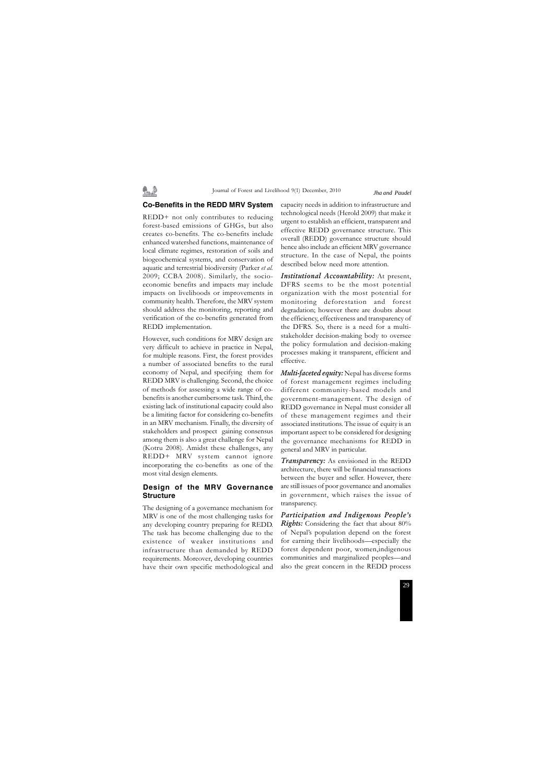#### **Co-Benefits in the REDD MRV System**

魯達

REDD+ not only contributes to reducing forest-based emissions of GHGs, but also creates co-benefits. The co-benefits include enhanced watershed functions, maintenance of local climate regimes, restoration of soils and biogeochemical systems, and conservation of aquatic and terrestrial biodiversity (Parker *et al.* 2009; CCBA 2008). Similarly, the socioeconomic benefits and impacts may include impacts on livelihoods or improvements in community health. Therefore, the MRV system should address the monitoring, reporting and verification of the co-benefits generated from REDD implementation.

However, such conditions for MRV design are very difficult to achieve in practice in Nepal, for multiple reasons. First, the forest provides a number of associated benefits to the rural economy of Nepal, and specifying them for REDD MRV is challenging. Second, the choice of methods for assessing a wide range of cobenefits is another cumbersome task. Third, the existing lack of institutional capacity could also be a limiting factor for considering co-benefits in an MRV mechanism. Finally, the diversity of stakeholders and prospect gaining consensus among them is also a great challenge for Nepal (Kotru 2008). Amidst these challenges, any REDD+ MRV system cannot ignore incorporating the co-benefits as one of the most vital design elements.

## **Design of the MRV Governance Structure**

The designing of a governance mechanism for MRV is one of the most challenging tasks for any developing country preparing for REDD. The task has become challenging due to the existence of weaker institutions and infrastructure than demanded by REDD requirements. Moreover, developing countries have their own specific methodological and

capacity needs in addition to infrastructure and technological needs (Herold 2009) that make it urgent to establish an efficient, transparent and effective REDD governance structure. This overall (REDD) governance structure should hence also include an efficient MRV governance structure. In the case of Nepal, the points described below need more attention.

*Institutional Accountability:* At present, DFRS seems to be the most potential organization with the most potential for monitoring deforestation and forest degradation; however there are doubts about the efficiency, effectiveness and transparency of the DFRS. So, there is a need for a multistakeholder decision-making body to oversee the policy formulation and decision-making processes making it transparent, efficient and effective.

*Multi-faceted equity:* Nepal has diverse forms of forest management regimes including different community-based models and government-management. The design of REDD governance in Nepal must consider all of these management regimes and their associated institutions. The issue of equity is an important aspect to be considered for designing the governance mechanisms for REDD in general and MRV in particular.

*Transparency:* As envisioned in the REDD architecture, there will be financial transactions between the buyer and seller. However, there are still issues of poor governance and anomalies in government, which raises the issue of transparency.

*Participation and Indigenous People's Rights:* Considering the fact that about 80% of Nepal's population depend on the forest for earning their livelihoods—especially the forest dependent poor, women,indigenous communities and marginalized peoples—and also the great concern in the REDD process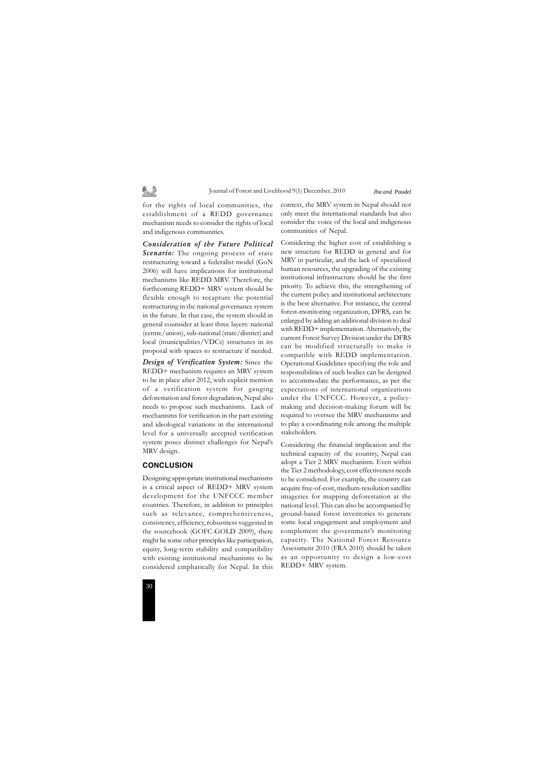

for the rights of local communities, the establishment of a REDD governance mechanism needs to consider the rights of local and indigenous communities.

"…♪

*Consideration of the Future Political Scenario:* The ongoing process of state restructuring toward a federalist model (GoN 2006) will have implications for institutional mechanisms like REDD MRV. Therefore, the forthcoming REDD+ MRV system should be flexible enough to recapture the potential restructuring in the national governance system in the future. In that case, the system should in general counsider at least three layers: national (centre/union), sub-national (state/district) and local (municipalities/VDCs) structures in its proposal with spaces to restructure if needed.

*Design of Verification System:* Since the REDD+ mechanism requires an MRV system to be in place after 2012, with explicit mention of a verification system for gauging deforestation and forest degradation, Nepal also needs to propose such mechanisms. Lack of mechanisms for verification in the part existing and ideological variations in the international level for a universally accepted verification system poses distinct challenges for Nepal's MRV design.

#### **CONCLUSION**

Designing appropriate institutional mechanisms is a critical aspect of REDD+ MRV system development for the UNFCCC member countries. Therefore, in addition to principles such as relevance, comprehensiveness, consistency, efficiency, robustness suggested in the sourcebook (GOFC-GOLD 2009), there might be some other principles like participation, equity, long-term stability and compatibility with existing institutional mechanisms to be considered emphatically for Nepal. In this context, the MRV system in Nepal should not only meet the international standards but also consider the voice of the local and indigenous communities of Nepal.

Considering the higher cost of establishing a new structure for REDD in general and for MRV in particular, and the lack of specialized human resources, the upgrading of the existing institutional infrastructure should be the first priority. To achieve this, the strengthening of the current policy and institutional architecture is the best alternative. For instance, the central forest-monitoring organization, DFRS, can be enlarged by adding an additional division to deal with REDD+ implementation. Alternatively, the current Forest Survey Division under the DFRS can be modified structurally to make it compatible with REDD implementation. Operational Guidelines specifying the role and responsibilities of such bodies can be designed to accommodate the performance, as per the expectations of international organizations under the UNFCCC. However, a policymaking and decision-making forum will be required to oversee the MRV mechanisms and to play a coordinating role among the multiple stakeholders.

Considering the financial implication and the technical capacity of the country, Nepal can adopt a Tier 2 MRV mechanism. Even within the Tier 2 methodology, cost effectiveness needs to be considered. For example, the country can acquire free-of-cost, medium-resolution satellite imageries for mapping deforestation at the national level. This can also be accompanied by ground-based forest inventories to generate some local engagement and employment and complement the government's monitoring capacity. The National Forest Resource Assessment 2010 (FRA 2010) should be taken as an opportunity to design a low-cost REDD+ MRV system.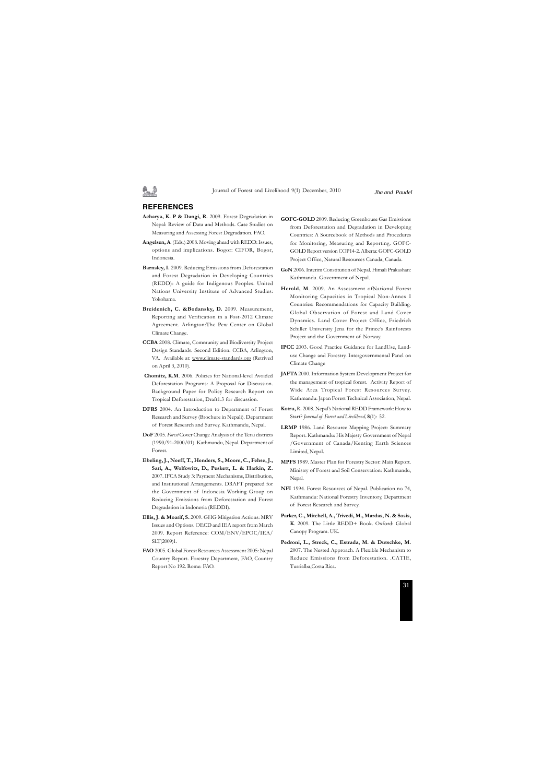#### **REFERENCES**

- **Acharya, K. P & Dangi, R.** 2009. Forest Degradation in Nepal: Review of Data and Methods. Case Studies on Measuring and Assessing Forest Degradation. FAO.
- **Angelsen, A**. (Eds.) 2008. Moving ahead with REDD: Issues, options and implications. Bogor: CIFOR, Bogor, Indonesia.
- **Barnsley, I.** 2009. Reducing Emissions from Deforestation and Forest Degradation in Developing Countries (REDD): A guide for Indigenous Peoples. United Nations University Institute of Advanced Studies: Yokohama.
- **Breidenich, C. &Bodansky, D.** 2009. Measurement, Reporting and Verification in a Post-2012 Climate Agreement. Arlington:The Pew Center on Global Climate Change.
- **CCBA** 2008. Climate, Community and Biodiversity Project Design Standards. Second Edition. CCBA, Arlington, VA. Available at: www.climate-standards.org (Retrived on April 3, 2010).
- **Chomitz, K.M**. 2006. Policies for National-level Avoided Deforestation Programs: A Proposal for Discussion. Background Paper for Policy Research Report on Tropical Deforestation, Draft1.3 for discussion.
- **DFRS** 2004. An Introduction to Department of Forest Research and Survey (Brochure in Nepali). Department of Forest Research and Survey. Kathmandu, Nepal.
- **DoF** 2005. *Forest* Cover Change Analysis of the Terai districts (1990/91-2000/01). Kathmandu, Nepal. Department of Forest.
- **Ebeling, J., Neeff, T., Henders, S., Moore, C., Fehse, J., Sari, A., Wolfowitz, D., Peskett, L. & Harkin, Z.** 2007. IFCA Study 3: Payment Mechanisms, Distribution, and Institutional Arrangements. DRAFT prepared for the Government of Indonesia Working Group on Reducing Emissions from Deforestation and Forest Degradation in Indonesia (REDDI).
- **Ellis, J. & Moarif, S.** 2009. GHG Mitigation Actions: MRV Issues and Options. OECD and IEA report from March 2009. Report Reference: COM/ENV/EPOC/IEA/ SLT(2009)1.
- **FAO** 2005. Global Forest Resources Assessment 2005: Nepal Country Report. Forestry Department, FAO, Country Report No 192. Rome: FAO.
- **GOFC-GOLD** 2009. Reducing Greenhouse Gas Emissions from Deforestation and Degradation in Developing Countries: A Sourcebook of Methods and Procedures for Monitoring, Measuring and Reporting. GOFC-GOLD Report version COP14-2. Alberta: GOFC-GOLD Project Office, Natural Resources Canada, Canada.
- **GoN** 2006. Interim Constitution of Nepal. Himali Prakashan: Kathmandu. Government of Nepal.
- Herold, M. 2009. An Assessment ofNational Forest Monitoring Capacities in Tropical Non-Annex I Countries: Recommendations for Capacity Building. Global Observation of Forest and Land Cover Dynamics. Land Cover Project Office, Friedrich Schiller University Jena for the Prince's Rainforests Project and the Government of Norway.
- **IPCC** 2003. Good Practice Guidance for LandUse, Landuse Change and Forestry. Intergovernmental Panel on Climate Change
- **JAFTA** 2000. Information System Development Project for the management of tropical forest. Activity Report of Wide Area Tropical Forest Resources Survey. Kathmandu: Japan Forest Technical Association, Nepal.
- **Kotru,** R**.** 2008. Nepal's National REDD Framework: How to Start? *Journal of Forest and Livelihood,* **8**(1): 52.
- **LRMP** 1986*.* Land Resource Mapping Project: Summary Report. Kathmandu: His Majesty Government of Nepal /Government of Canada/Kenting Earth Sciences Limited, Nepal.
- **MPFS** 1989. Master Plan for Forestry Sector: Main Report. Ministry of Forest and Soil Conservation: Kathmandu, Nepal.
- **NFI** 1994. Forest Resources of Nepal. Publication no 74, Kathmandu: National Forestry Inventory, Department of Forest Research and Survey.
- **Parker, C., Mitchell, A., Trivedi, M., Mardas, N. & Sosis, K**. 2009. The Little REDD+ Book. Oxford: Global Canopy Program. UK.
- **Pedroni, L., Streck, C., Estrada, M. & Dutschke, M.** 2007. The Nested Approach. A Flexible Mechanism to Reduce Emissions from Deforestation. .CATIE, Turrialba,Costa Rica.